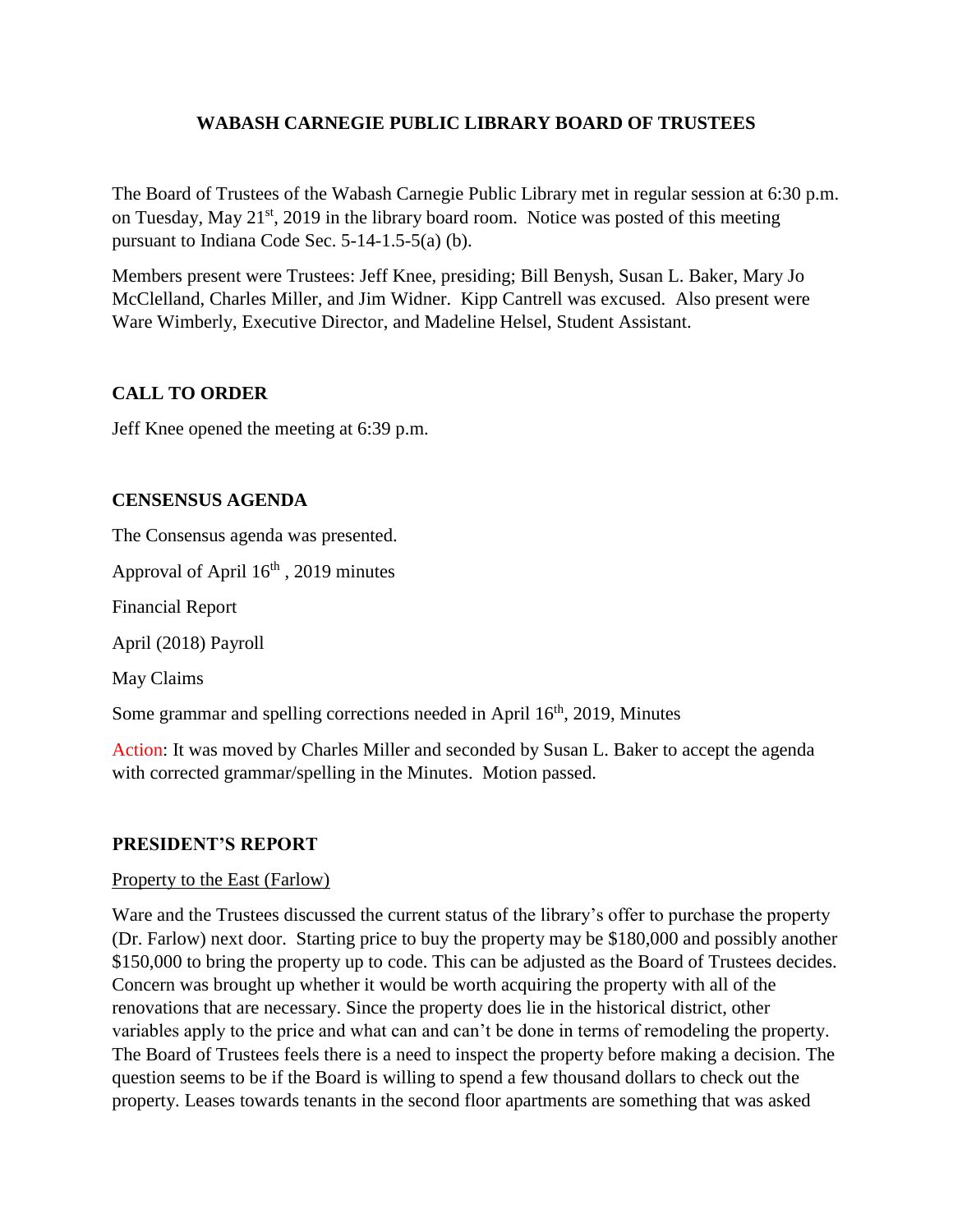## **WABASH CARNEGIE PUBLIC LIBRARY BOARD OF TRUSTEES**

The Board of Trustees of the Wabash Carnegie Public Library met in regular session at 6:30 p.m. on Tuesday, May 21<sup>st</sup>, 2019 in the library board room. Notice was posted of this meeting pursuant to Indiana Code Sec. 5-14-1.5-5(a) (b).

Members present were Trustees: Jeff Knee, presiding; Bill Benysh, Susan L. Baker, Mary Jo McClelland, Charles Miller, and Jim Widner. Kipp Cantrell was excused. Also present were Ware Wimberly, Executive Director, and Madeline Helsel, Student Assistant.

# **CALL TO ORDER**

Jeff Knee opened the meeting at 6:39 p.m.

## **CENSENSUS AGENDA**

The Consensus agenda was presented.

Approval of April  $16<sup>th</sup>$ , 2019 minutes

Financial Report

April (2018) Payroll

May Claims

Some grammar and spelling corrections needed in April  $16<sup>th</sup>$ , 2019, Minutes

Action: It was moved by Charles Miller and seconded by Susan L. Baker to accept the agenda with corrected grammar/spelling in the Minutes. Motion passed.

## **PRESIDENT'S REPORT**

#### Property to the East (Farlow)

Ware and the Trustees discussed the current status of the library's offer to purchase the property (Dr. Farlow) next door. Starting price to buy the property may be \$180,000 and possibly another \$150,000 to bring the property up to code. This can be adjusted as the Board of Trustees decides. Concern was brought up whether it would be worth acquiring the property with all of the renovations that are necessary. Since the property does lie in the historical district, other variables apply to the price and what can and can't be done in terms of remodeling the property. The Board of Trustees feels there is a need to inspect the property before making a decision. The question seems to be if the Board is willing to spend a few thousand dollars to check out the property. Leases towards tenants in the second floor apartments are something that was asked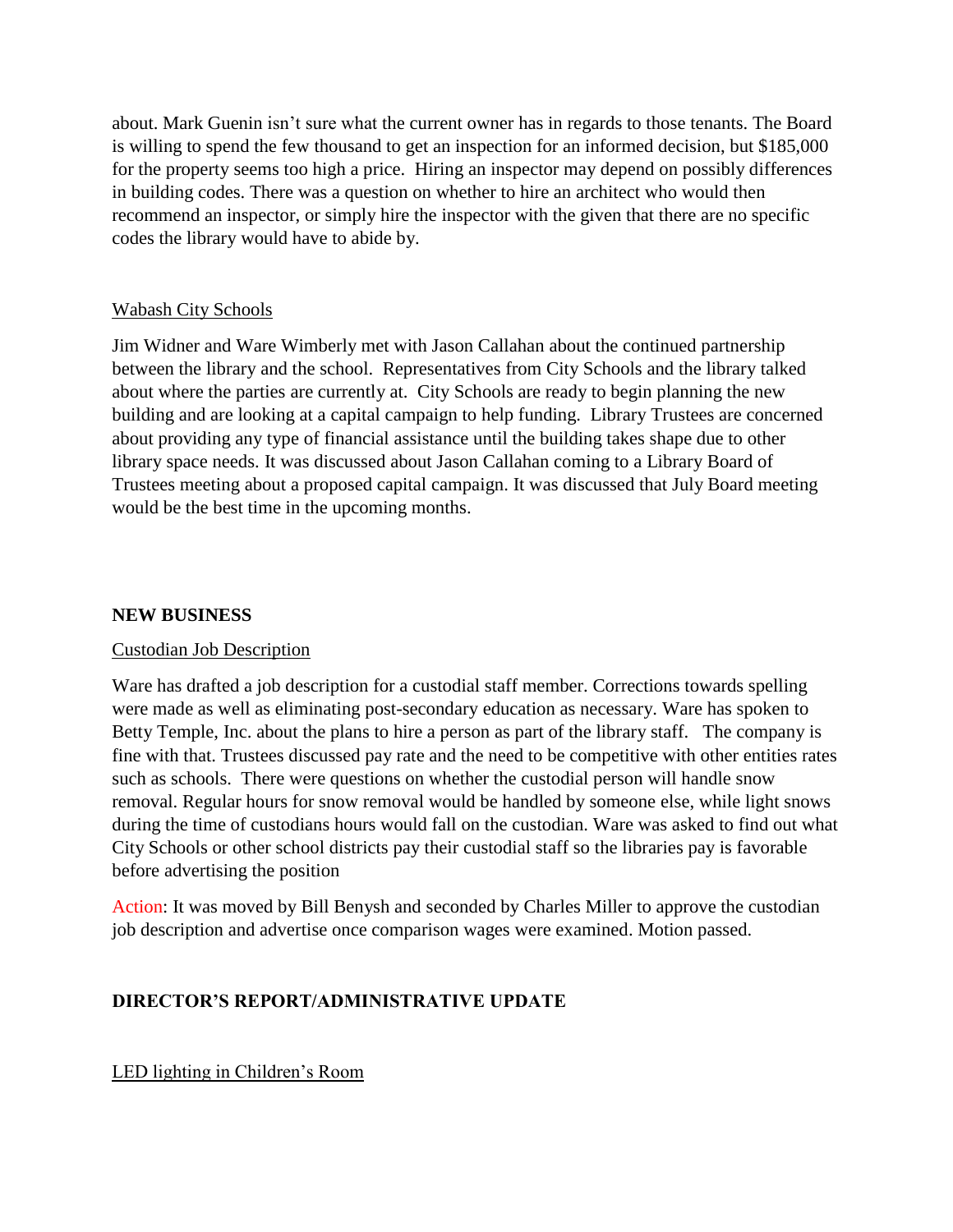about. Mark Guenin isn't sure what the current owner has in regards to those tenants. The Board is willing to spend the few thousand to get an inspection for an informed decision, but \$185,000 for the property seems too high a price. Hiring an inspector may depend on possibly differences in building codes. There was a question on whether to hire an architect who would then recommend an inspector, or simply hire the inspector with the given that there are no specific codes the library would have to abide by.

### Wabash City Schools

Jim Widner and Ware Wimberly met with Jason Callahan about the continued partnership between the library and the school. Representatives from City Schools and the library talked about where the parties are currently at. City Schools are ready to begin planning the new building and are looking at a capital campaign to help funding. Library Trustees are concerned about providing any type of financial assistance until the building takes shape due to other library space needs. It was discussed about Jason Callahan coming to a Library Board of Trustees meeting about a proposed capital campaign. It was discussed that July Board meeting would be the best time in the upcoming months.

#### **NEW BUSINESS**

## Custodian Job Description

Ware has drafted a job description for a custodial staff member. Corrections towards spelling were made as well as eliminating post-secondary education as necessary. Ware has spoken to Betty Temple, Inc. about the plans to hire a person as part of the library staff. The company is fine with that. Trustees discussed pay rate and the need to be competitive with other entities rates such as schools. There were questions on whether the custodial person will handle snow removal. Regular hours for snow removal would be handled by someone else, while light snows during the time of custodians hours would fall on the custodian. Ware was asked to find out what City Schools or other school districts pay their custodial staff so the libraries pay is favorable before advertising the position

Action: It was moved by Bill Benysh and seconded by Charles Miller to approve the custodian job description and advertise once comparison wages were examined. Motion passed.

## **DIRECTOR'S REPORT/ADMINISTRATIVE UPDATE**

LED lighting in Children's Room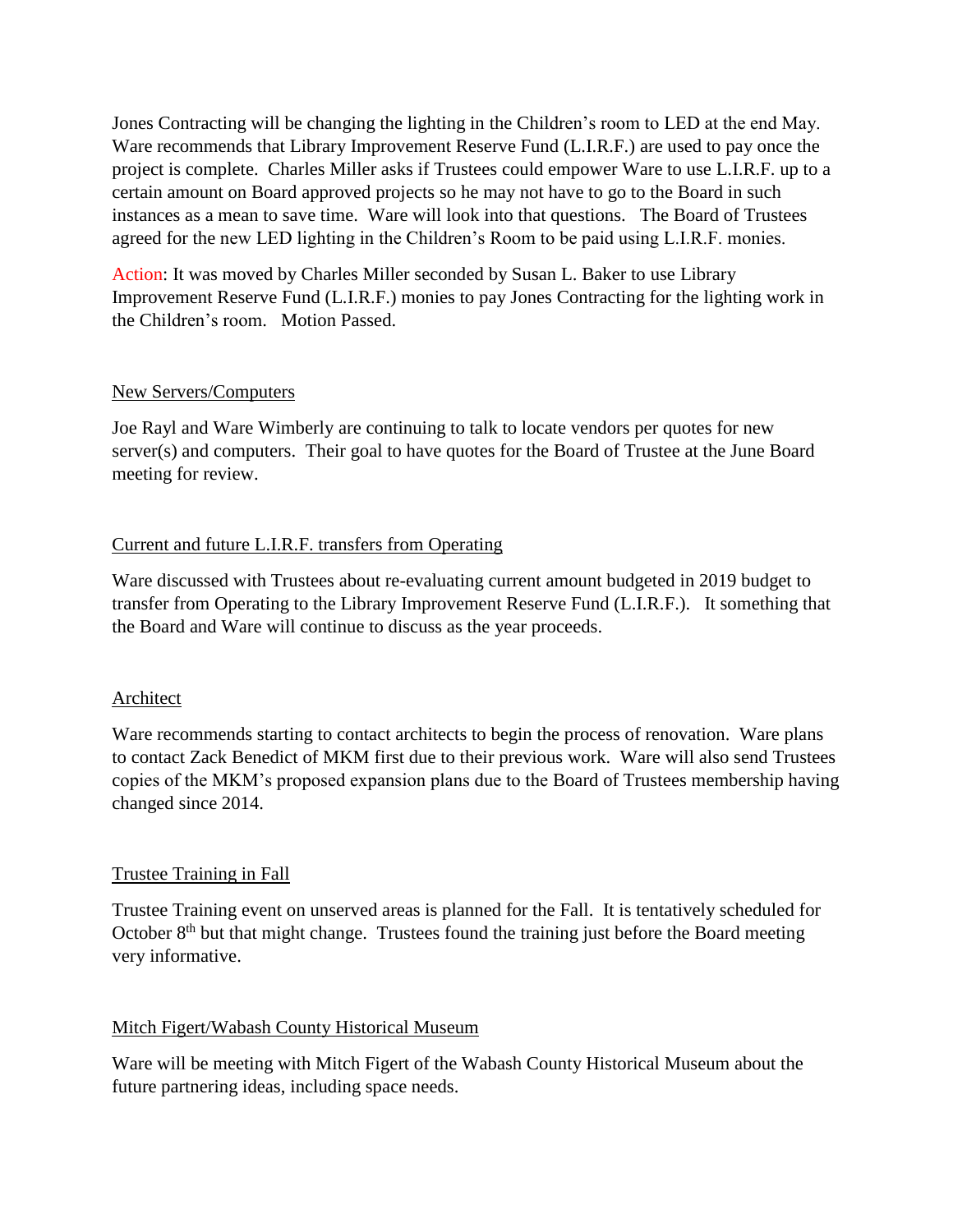Jones Contracting will be changing the lighting in the Children's room to LED at the end May. Ware recommends that Library Improvement Reserve Fund (L.I.R.F.) are used to pay once the project is complete. Charles Miller asks if Trustees could empower Ware to use L.I.R.F. up to a certain amount on Board approved projects so he may not have to go to the Board in such instances as a mean to save time. Ware will look into that questions. The Board of Trustees agreed for the new LED lighting in the Children's Room to be paid using L.I.R.F. monies.

Action: It was moved by Charles Miller seconded by Susan L. Baker to use Library Improvement Reserve Fund (L.I.R.F.) monies to pay Jones Contracting for the lighting work in the Children's room. Motion Passed.

### New Servers/Computers

Joe Rayl and Ware Wimberly are continuing to talk to locate vendors per quotes for new server(s) and computers. Their goal to have quotes for the Board of Trustee at the June Board meeting for review.

## Current and future L.I.R.F. transfers from Operating

Ware discussed with Trustees about re-evaluating current amount budgeted in 2019 budget to transfer from Operating to the Library Improvement Reserve Fund (L.I.R.F.). It something that the Board and Ware will continue to discuss as the year proceeds.

## Architect

Ware recommends starting to contact architects to begin the process of renovation. Ware plans to contact Zack Benedict of MKM first due to their previous work. Ware will also send Trustees copies of the MKM's proposed expansion plans due to the Board of Trustees membership having changed since 2014.

## Trustee Training in Fall

Trustee Training event on unserved areas is planned for the Fall. It is tentatively scheduled for October  $8<sup>th</sup>$  but that might change. Trustees found the training just before the Board meeting very informative.

## Mitch Figert/Wabash County Historical Museum

Ware will be meeting with Mitch Figert of the Wabash County Historical Museum about the future partnering ideas, including space needs.